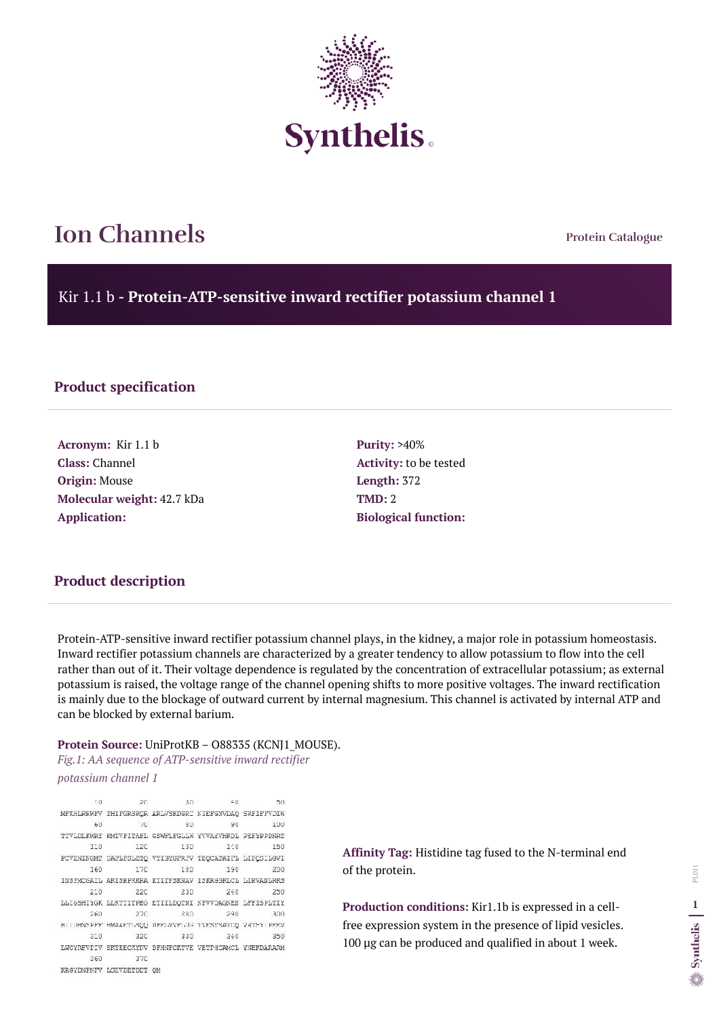**Protein Catalogue**

Kir 1.1 b **- Protein-ATP-sensitive inward rectifier potassium channel 1**



## **Ion Channels**

#### **Product specification**

**Acronym:** Kir 1.1 b **Class:** Channel **Origin:** Mouse **Molecular weight:** 42.7 kDa **Application:**

**Purity:** >40% **Activity:** to be tested **Length:** 372 **TMD:** 2 **Biological function:**

Protein-ATP-sensitive inward rectifier potassium channel plays, in the kidney, a major role in potassium homeostasis. Inward rectifier potassium channels are characterized by a greater tendency to allow potassium to flow into the cell rather than out of it. Their voltage dependence is regulated by the concentration of extracellular potassium; as external potassium is raised, the voltage range of the channel opening shifts to more positive voltages. The inward rectification is mainly due to the blockage of outward current by internal magnesium. This channel is activated by internal ATP and can be blocked by external barium.

#### **Protein Source:** UniProtKB – O88335 (KCNJ1\_MOUSE).

*Fig.1: AA sequence of ATP-sensitive inward rectifier potassium channel 1*

 $10$ 20 30  $40 -$ 50. MFKHLREWFV THIFGRSROR ARLVSKDGRC NIEFGNVDAQ SRFIFFVDIW 60  $TC$ 80  $90$ 100 TTVLDLKWRY KMTVFITAFL GSWFLFGLLW YVVAYVHKDL PEFYPPDNRT  $12C$ 130  $1:0$ 110 150 PCVENINGMT SAFLFSLETQ VTISYGFRFV TEQCATAIFL LIFQSILGVI 160 17C 180 190 200 INSTWOGAIL AKISRPKKRA KTITESKNAV ISKRGGKLCL LIRVANLRKS **220**  $240$  $210$ 230 250 LLIGSHIYGK LLKTTITPEG ETIILDQTNI NFVVDAGNEN LFFISPLTIY  $260$ 270 280 290 300 HITDHNSPEE HMAARTISQQ DEELVVELDS TVESTSATOQ VRTSYTPEEV 310  $32C$ 330 340 350 LWCYREVPIV SKTKECKYRV DFHNFCKTVE VETPHCAMCL YNEKDARARM 360 37C KRGYDNPNFV LGEVDETDDT QM

**Affinity Tag:** Histidine tag fused to the N-terminal end of the protein.

**Production conditions:** Kir1.1b is expressed in a cellfree expression system in the presence of lipid vesicles. 100 µg can be produced and qualified in about 1 week.